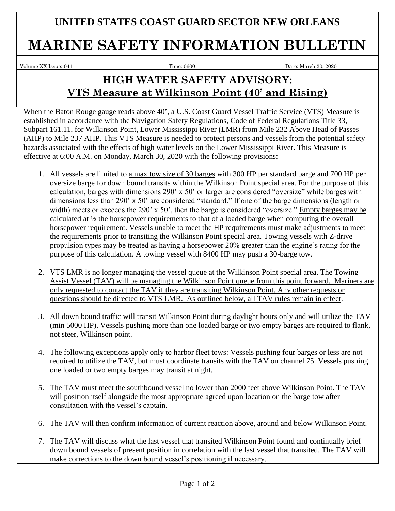## **MARINE SAFETY INFORMATION BULLETIN**

Volume XX Issue: 041 Time: 0600 Date: March 20, 2020

## **HIGH WATER SAFETY ADVISORY: VTS Measure at Wilkinson Point (40' and Rising)**

When the Baton Rouge gauge reads above 40', a U.S. Coast Guard Vessel Traffic Service (VTS) Measure is established in accordance with the Navigation Safety Regulations, Code of Federal Regulations Title 33, Subpart 161.11, for Wilkinson Point, Lower Mississippi River (LMR) from Mile 232 Above Head of Passes (AHP) to Mile 237 AHP. This VTS Measure is needed to protect persons and vessels from the potential safety hazards associated with the effects of high water levels on the Lower Mississippi River. This Measure is effective at 6:00 A.M. on Monday, March 30, 2020 with the following provisions:

- 1. All vessels are limited to a max tow size of 30 barges with 300 HP per standard barge and 700 HP per oversize barge for down bound transits within the Wilkinson Point special area. For the purpose of this calculation, barges with dimensions 290' x 50' or larger are considered "oversize" while barges with dimensions less than 290' x 50' are considered "standard." If one of the barge dimensions (length or width) meets or exceeds the 290' x 50', then the barge is considered "oversize." Empty barges may be calculated at ½ the horsepower requirements to that of a loaded barge when computing the overall horsepower requirement. Vessels unable to meet the HP requirements must make adjustments to meet the requirements prior to transiting the Wilkinson Point special area. Towing vessels with Z-drive propulsion types may be treated as having a horsepower 20% greater than the engine's rating for the purpose of this calculation. A towing vessel with 8400 HP may push a 30-barge tow.
- 2. VTS LMR is no longer managing the vessel queue at the Wilkinson Point special area. The Towing Assist Vessel (TAV) will be managing the Wilkinson Point queue from this point forward. Mariners are only requested to contact the TAV if they are transiting Wilkinson Point. Any other requests or questions should be directed to VTS LMR. As outlined below, all TAV rules remain in effect.
- 3. All down bound traffic will transit Wilkinson Point during daylight hours only and will utilize the TAV (min 5000 HP). Vessels pushing more than one loaded barge or two empty barges are required to flank, not steer, Wilkinson point.
- 4. The following exceptions apply only to harbor fleet tows: Vessels pushing four barges or less are not required to utilize the TAV, but must coordinate transits with the TAV on channel 75. Vessels pushing one loaded or two empty barges may transit at night*.*
- 5. The TAV must meet the southbound vessel no lower than 2000 feet above Wilkinson Point. The TAV will position itself alongside the most appropriate agreed upon location on the barge tow after consultation with the vessel's captain.
- 6. The TAV will then confirm information of current reaction above, around and below Wilkinson Point.
- 7. The TAV will discuss what the last vessel that transited Wilkinson Point found and continually brief down bound vessels of present position in correlation with the last vessel that transited. The TAV will make corrections to the down bound vessel's positioning if necessary.